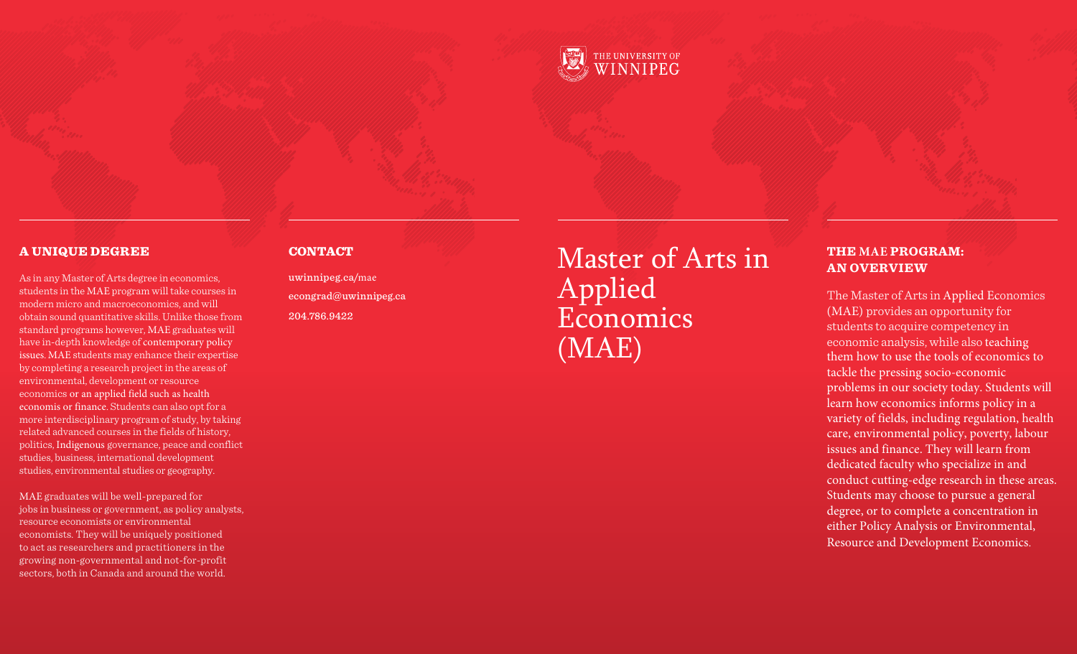

## A UNIQUE DEGREE

As in any Master of Arts degree in economics, students in the MAE program will take courses in modern micro and macroeconomics, and will obtain sound quantitative skills. Unlike those from standard programs however, MAE graduates will have in-depth knowledge of contemporary policy issues. MAE students may enhance their expertise by completing a research project in the areas of environmental, development or resource economics or an applied field such as health economis or finance. Students can also opt for a more interdisciplinary program of study, by taking related advanced courses in the fields of history, politics, Indigenous governance, peace and conflict studies, business, international development studies, environmental studies or geography.

MAE graduates will be well-prepared for jobs in business or government, as policy analysts, resource economists or environmental economists. They will be uniquely positioned to act as researchers and practitioners in the growing non-gover nmental and not-for-profit sectors, both in Canada and around the world.

#### **CONTACT**

u winnipeg.ca/mae econgrad@uwinnipeg.ca 204.786.9422

Master of Arts in Applied Economics (MAE)

## **THE MAE PROGRAM: AN OVERVIEW**

The Master of Arts in Applied Economics (MAE) provides an opportunity for students to acquire competency in economic analysis, while also teaching them how to use the tools of economics to tackle the pressing socio-economic problems in our society today. Students will learn how economics informs policy in a variety of fields, including regulation, health care, environmental policy, poverty, labour issues and finance. They will learn from dedicated faculty who specialize in and conduct cutting-edge research in these areas. Students may choose to pursue a general degree, or to complete a concentration in either Policy Analysis or Environmental, Resource and Development Economics .